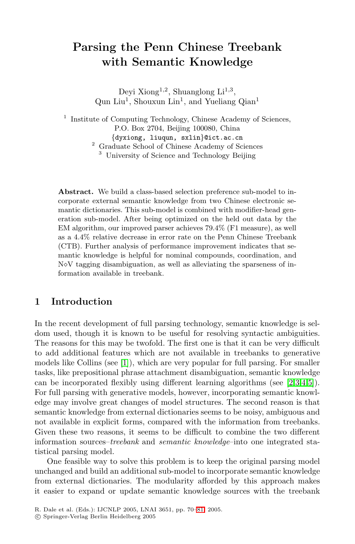# **Parsing the Penn Chinese Treebank with Semantic Knowledge**

Deyi Xiong<sup>1,2</sup>, Shuanglong Li<sup>1,3</sup>,  $\mathrm{Qun}\,\mathrm{Li}u^1$ , Shouxun  $\mathrm{Lin}^1$ , and Yueliang  $\mathrm{Qian}^1$ 

<sup>1</sup> Institute of Computing Technology, Chinese Academy of Sciences, P.O. Box 2704, Beijing 100080, China {dyxiong, liuqun, sxlin}@ict.ac.cn <sup>2</sup> Graduate School of Chinese Academy of Sciences <sup>3</sup> University of Science and Technology Beijing

**Abstract.** We build a class-based selection preference sub-model to incorporate external semantic knowledge from two Chinese electronic semantic dictionaries. This sub-model is combined with modifier-head generation sub-model. After being optimized on the held out data by the EM algorithm, our improved parser achieves 79.4% (F1 measure), as well as a 4.4% relative decrease in error rate on the Penn Chinese Treebank (CTB). Further analysis of performance improvement indicates that semantic knowledge is helpful for nominal compounds, coordination, and  $N\diamond V$  tagging disambiguation, as well as alleviating the sparseness of information available in treebank.

### **1 Introduction**

In the recent development of full parsing technology, semantic knowledge is seldom used, though it is known to be useful for resolving syntactic ambiguities. The reasons for this may be twofold. The first one is that it can be very difficult to add additional features which are not available in treebanks to generative models like Collins (see [\[1\]](#page-10-0)), which are very popular for full parsing. For smaller tasks, like prepositional phrase attachment disambiguation, semantic knowledge can be incorporated flexibly using different learning algorithms (see [\[2](#page-10-1)[,3,](#page-11-0)[4](#page-11-1)[,5\]](#page-11-2)). For full parsing with generative models, however, incorporating semantic knowledge may involve great changes of model structures. The second reason is that semantic knowledge from external dictionaries seems to be noisy, ambiguous and not available in explicit forms, compared with the information from treebanks. Given these two reasons, it seems to be difficult to combine the two different information sources–*treebank* and *semantic knowledge*–into one integrated statistical parsing model.

One feasible way to solve this problem is to keep the original parsing model unchanged and build an additional sub-model to incorporate semantic knowledge from external dictionaries. The modularity afforded by this approach makes it easier to expand or update semantic knowledge sources with the treebank

c Springer-Verlag Berlin Heidelberg 2005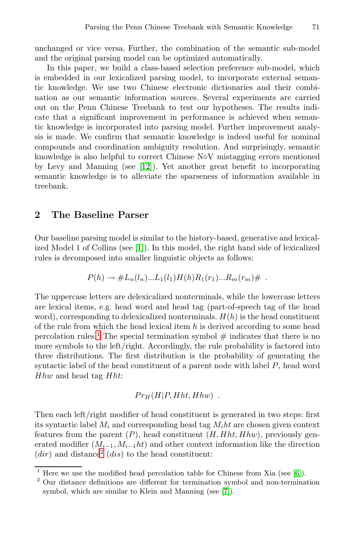unchanged or vice versa. Further, the combination of the semantic sub-model and the original parsing model can be optimized automatically.

In this paper, we build a class-based selection preference sub-model, which is embedded in our lexicalized parsing model, to incorporate external semantic knowledge. We use two Chinese electronic dictionaries and their combination as our semantic information sources. Several experiments are carried out on the Penn Chinese Treebank to test our hypotheses. The results indicate that a significant improvement in performance is achieved when semantic knowledge is incorporated into parsing model. Further improvement analysis is made. We confirm that semantic knowledge is indeed useful for nominal compounds and coordination ambiguity resolution. And surprisingly, semantic knowledge is also helpful to correct Chinese  $N\diamond V$  mistagging errors mentioned by Levy and Manning (see [\[12\]](#page-11-3)). Yet another great benefit to incorporating semantic knowledge is to alleviate the sparseness of information available in treebank.

#### **2 The Baseline Parser**

Our baseline parsing model is similar to the history-based, generative and lexicalized Model 1 of Collins (see [\[1\]](#page-10-0)). In this model, the right hand side of lexicalized rules is decomposed into smaller linguistic objects as follows:

$$
P(h) \to \#L_n(l_n)...L_1(l_1)H(h)R_1(r_1)...R_m(r_m) \# .
$$

The uppercase letters are delexicalized nonterminals, while the lowercase letters are lexical items, e.g. head word and head tag (part-of-speech tag of the head word), corresponding to delexicalized nonterminals.  $H(h)$  is the head constituent of the rule from which the head lexical item  $h$  is derived according to some head percolation rules.<sup>[1](#page-1-0)</sup> The special termination symbol  $\#$  indicates that there is no more symbols to the left/right. Accordingly, the rule probability is factored into three distributions. The first distribution is the probability of generating the syntactic label of the head constituent of a parent node with label P, head word Hhw and head tag Hht:

$$
Pr_H(H|P, Hht, Hhw) .
$$

Then each left/right modifier of head constituent is generated in two steps: first its syntactic label  $M_i$  and corresponding head tag  $M_i$ ht are chosen given context features from the parent  $(P)$ , head constituent  $(H, Hht, Hhw)$ , previously generated modifier  $(M_{i-1}, M_{i-1}ht)$  and other context information like the direction  $(dir)$  and distance<sup>[2](#page-1-1)</sup> (*dis*) to the head constituent:

<sup>&</sup>lt;sup>1</sup> Here we use the modified head percolation table for Chinese from Xia (see [\[6\]](#page-11-4)).

<span id="page-1-1"></span><span id="page-1-0"></span><sup>2</sup> Our distance definitions are different for termination symbol and non-termination symbol, which are similar to Klein and Manning (see [\[7\]](#page-11-5)).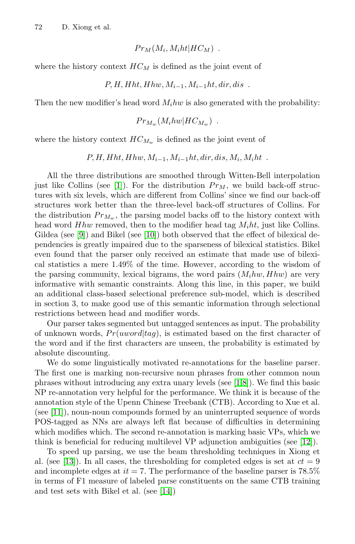$$
Pr_M(M_i, M_iht|HC_M) .
$$

where the history context  $HC_M$  is defined as the joint event of

$$
P, H, Hht, Hhw, M_{i-1}, M_{i-1}ht, dir, dis.
$$

Then the new modifier's head word  $M_i h w$  is also generated with the probability:

$$
Pr_{M_w}(M_ihw|HC_{M_w}) .
$$

where the history context  $HC_{M_w}$  is defined as the joint event of

 $P, H, Hht, Hhw, M_{i-1}, M_{i-1}ht, dir, dis, M_i, M_iht$ .

All the three distributions are smoothed through Witten-Bell interpolation just like Collins (see [\[1\]](#page-10-0)). For the distribution  $Pr_M$ , we build back-off structures with six levels, which are different from Collins' since we find our back-off structures work better than the three-level back-off structures of Collins. For the distribution  $Pr_{M_{w}}$ , the parsing model backs off to the history context with head word  $Hhw$  removed, then to the modifier head tag  $M<sub>i</sub>ht$ , just like Collins. Gildea (see [\[9\]](#page-11-6)) and Bikel (see [\[10\]](#page-11-7)) both observed that the effect of bilexical dependencies is greatly impaired due to the sparseness of bilexical statistics. Bikel even found that the parser only received an estimate that made use of bilexical statistics a mere 1.49% of the time. However, according to the wisdom of the parsing community, lexical bigrams, the word pairs  $(M_i h w, H h w)$  are very informative with semantic constraints. Along this line, in this paper, we build an additional class-based selectional preference sub-model, which is described in section 3, to make good use of this semantic information through selectional restrictions between head and modifier words.

Our parser takes segmented but untagged sentences as input. The probability of unknown words,  $Pr(uword|tag)$ , is estimated based on the first character of the word and if the first characters are unseen, the probability is estimated by absolute discounting.

We do some linguistically motivated re-annotations for the baseline parser. The first one is marking non-recursive noun phrases from other common noun phrases without introducing any extra unary levels (see [\[1](#page-10-0)[,8\]](#page-11-8)). We find this basic NP re-annotation very helpful for the performance. We think it is because of the annotation style of the Upenn Chinese Treebank (CTB). According to Xue et al. (see [\[11\]](#page-11-9)), noun-noun compounds formed by an uninterrupted sequence of words POS-tagged as NNs are always left flat because of difficulties in determining which modifies which. The second re-annotation is marking basic VPs, which we think is beneficial for reducing multilevel VP adjunction ambiguities (see [\[12\]](#page-11-3)).

To speed up parsing, we use the beam thresholding techniques in Xiong et al. (see [\[13\]](#page-11-10)). In all cases, the thresholding for completed edges is set at  $ct = 9$ and incomplete edges at  $it = 7$ . The performance of the baseline parser is 78.5% in terms of F1 measure of labeled parse constituents on the same CTB training and test sets with Bikel et al. (see [\[14\]](#page-11-11))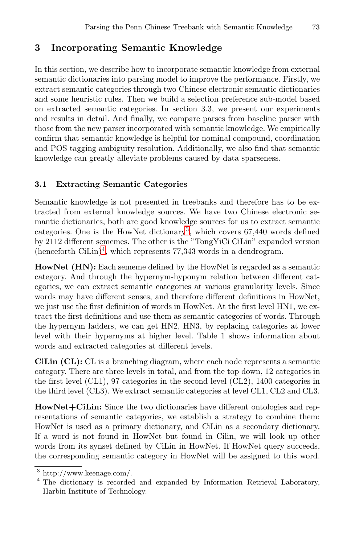### **3 Incorporating Semantic Knowledge**

In this section, we describe how to incorporate semantic knowledge from external semantic dictionaries into parsing model to improve the performance. Firstly, we extract semantic categories through two Chinese electronic semantic dictionaries and some heuristic rules. Then we build a selection preference sub-model based on extracted semantic categories. In section 3.3, we present our experiments and results in detail. And finally, we compare parses from baseline parser with those from the new parser incorporated with semantic knowledge. We empirically confirm that semantic knowledge is helpful for nominal compound, coordination and POS tagging ambiguity resolution. Additionally, we also find that semantic knowledge can greatly alleviate problems caused by data sparseness.

#### **3.1 Extracting Semantic Categories**

Semantic knowledge is not presented in treebanks and therefore has to be extracted from external knowledge sources. We have two Chinese electronic semantic dictionaries, both are good knowledge sources for us to extract semantic categories. One is the HowNet dictionary<sup>[3](#page-3-0)</sup>, which covers 67,440 words defined by 2112 different sememes. The other is the "TongYiCi CiLin" expanded version (henceforth CiLin)<sup>[4](#page-3-1)</sup>, which represents  $77,343$  words in a dendrogram.

**HowNet (HN):** Each sememe defined by the HowNet is regarded as a semantic category. And through the hypernym-hyponym relation between different categories, we can extract semantic categories at various granularity levels. Since words may have different senses, and therefore different definitions in HowNet, we just use the first definition of words in HowNet. At the first level HN1, we extract the first definitions and use them as semantic categories of words. Through the hypernym ladders, we can get HN2, HN3, by replacing categories at lower level with their hypernyms at higher level. Table 1 shows information about words and extracted categories at different levels.

**CiLin (CL):** CL is a branching diagram, where each node represents a semantic category. There are three levels in total, and from the top down, 12 categories in the first level (CL1), 97 categories in the second level (CL2), 1400 categories in the third level (CL3). We extract semantic categories at level CL1, CL2 and CL3.

**HowNet+CiLin:** Since the two dictionaries have different ontologies and representations of semantic categories, we establish a strategy to combine them: HowNet is used as a primary dictionary, and CiLin as a secondary dictionary. If a word is not found in HowNet but found in Cilin, we will look up other words from its synset defined by CiLin in HowNet. If HowNet query succeeds, the corresponding semantic category in HowNet will be assigned to this word.

 $3 \text{ http://www.keenage.com/}.$ 

<span id="page-3-1"></span><span id="page-3-0"></span><sup>&</sup>lt;sup>4</sup> The dictionary is recorded and expanded by Information Retrieval Laboratory, Harbin Institute of Technology.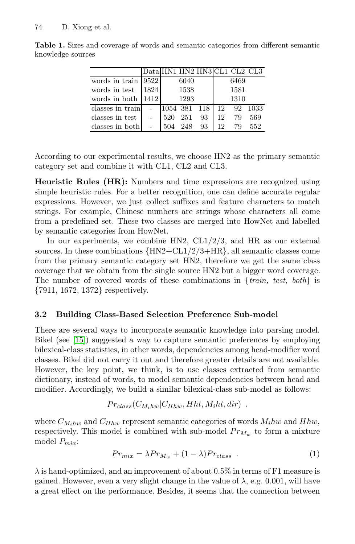|                       |      | Data HN1 HN2 HN3 CL1 CL2 CL3 |      |    |    |       |      |
|-----------------------|------|------------------------------|------|----|----|-------|------|
| words in train [9522] |      |                              | 6040 |    |    | 6469  |      |
| words in test         | 1824 |                              | 1538 |    |    | 1581  |      |
| words in both         | 1412 |                              | 1293 |    |    | 1310  |      |
| classes in train      |      | 1054 381 118                 |      |    |    | 12 92 | 1033 |
| classes in test       |      | 520                          | 251  | 93 | 12 | 79    | 569  |
| classes in both       |      | 504                          | 248  | 93 | 12 | 79    | 552  |

**Table 1.** Sizes and coverage of words and semantic categories from different semantic knowledge sources

According to our experimental results, we choose HN2 as the primary semantic category set and combine it with CL1, CL2 and CL3.

**Heuristic Rules (HR):** Numbers and time expressions are recognized using simple heuristic rules. For a better recognition, one can define accurate regular expressions. However, we just collect suffixes and feature characters to match strings. For example, Chinese numbers are strings whose characters all come from a predefined set. These two classes are merged into HowNet and labelled by semantic categories from HowNet.

In our experiments, we combine HN2,  $CL1/2/3$ , and HR as our external sources. In these combinations  $\{HN2+CL1/2/3+HR\}$ , all semantic classes come from the primary semantic category set HN2, therefore we get the same class coverage that we obtain from the single source HN2 but a bigger word coverage. The number of covered words of these combinations in  $\{train, test, both\}$  is {7911, 1672, 1372} respectively.

#### **3.2 Building Class-Based Selection Preference Sub-model**

There are several ways to incorporate semantic knowledge into parsing model. Bikel (see [\[15\]](#page-11-12)) suggested a way to capture semantic preferences by employing bilexical-class statistics, in other words, dependencies among head-modifier word classes. Bikel did not carry it out and therefore greater details are not available. However, the key point, we think, is to use classes extracted from semantic dictionary, instead of words, to model semantic dependencies between head and modifier. Accordingly, we build a similar bilexical-class sub-model as follows:

$$
Pr_{class}(C_{M_ihw}|C_{Hhw}, Hht, M_iht, dir)
$$
.

where  $C_{M_ihw}$  and  $C_{Hhw}$  represent semantic categories of words  $M_ihw$  and  $Hhw$ , respectively. This model is combined with sub-model  $Pr_{M_w}$  to form a mixture model  $P_{mix}$ :

$$
Pr_{mix} = \lambda Pr_{M_w} + (1 - \lambda) Pr_{class} \tag{1}
$$

 $\lambda$  is hand-optimized, and an improvement of about 0.5% in terms of F1 measure is gained. However, even a very slight change in the value of  $\lambda$ , e.g. 0.001, will have a great effect on the performance. Besides, it seems that the connection between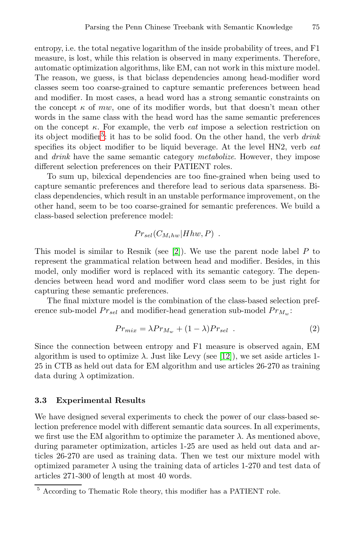entropy, i.e. the total negative logarithm of the inside probability of trees, and F1 measure, is lost, while this relation is observed in many experiments. Therefore, automatic optimization algorithms, like EM, can not work in this mixture model. The reason, we guess, is that biclass dependencies among head-modifier word classes seem too coarse-grained to capture semantic preferences between head and modifier. In most cases, a head word has a strong semantic constraints on the concept  $\kappa$  of mw, one of its modifier words, but that doesn't mean other words in the same class with the head word has the same semantic preferences on the concept  $\kappa$ . For example, the verb *eat* impose a selection restriction on its object modifier<sup>[5](#page-5-0)</sup>: it has to be solid food. On the other hand, the verb  $drink$ specifies its object modifier to be liquid beverage. At the level HN2, verb eat and *drink* have the same semantic category *metabolize*. However, they impose different selection preferences on their PATIENT roles.

To sum up, bilexical dependencies are too fine-grained when being used to capture semantic preferences and therefore lead to serious data sparseness. Biclass dependencies, which result in an unstable performance improvement, on the other hand, seem to be too coarse-grained for semantic preferences. We build a class-based selection preference model:

$$
Pr_{sel}(C_{M_1hw}|Hhw, P) .
$$

This model is similar to Resnik (see  $[2]$ ). We use the parent node label P to represent the grammatical relation between head and modifier. Besides, in this model, only modifier word is replaced with its semantic category. The dependencies between head word and modifier word class seem to be just right for capturing these semantic preferences.

The final mixture model is the combination of the class-based selection preference sub-model  $Pr_{sel}$  and modifier-head generation sub-model  $Pr_{M_w}$ :

$$
Pr_{mix} = \lambda Pr_{M_w} + (1 - \lambda) Pr_{sel} \tag{2}
$$

Since the connection between entropy and F1 measure is observed again, EM algorithm is used to optimize  $\lambda$ . Just like Levy (see [\[12\]](#page-11-3)), we set aside articles 1-25 in CTB as held out data for EM algorithm and use articles 26-270 as training data during  $\lambda$  optimization.

#### **3.3 Experimental Results**

We have designed several experiments to check the power of our class-based selection preference model with different semantic data sources. In all experiments, we first use the EM algorithm to optimize the parameter  $\lambda$ . As mentioned above, during parameter optimization, articles 1-25 are used as held out data and articles 26-270 are used as training data. Then we test our mixture model with optimized parameter  $\lambda$  using the training data of articles 1-270 and test data of articles 271-300 of length at most 40 words.

<span id="page-5-0"></span><sup>5</sup> According to Thematic Role theory, this modifier has a PATIENT role.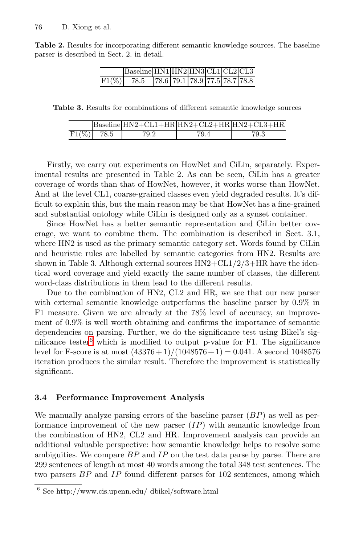**Table 2.** Results for incorporating different semantic knowledge sources. The baseline parser is described in Sect. 2. in detail.

|          | Baseline HN1 HN2 HN3 CL1 CL2 CL3 |                               |  |  |  |
|----------|----------------------------------|-------------------------------|--|--|--|
| $F1(\%)$ | 78.5                             | 78.6 79.1 78.9 77.5 78.7 78.8 |  |  |  |

**Table 3.** Results for combinations of different semantic knowledge sources

|          |      | $ $ Baseline $ $ HN2+CL1+HR $ $ HN2+CL2+HR $ $ HN2+CL3+HR |
|----------|------|-----------------------------------------------------------|
| $F1(\%)$ | 79.2 |                                                           |

Firstly, we carry out experiments on HowNet and CiLin, separately. Experimental results are presented in Table 2. As can be seen, CiLin has a greater coverage of words than that of HowNet, however, it works worse than HowNet. And at the level CL1, coarse-grained classes even yield degraded results. It's difficult to explain this, but the main reason may be that HowNet has a fine-grained and substantial ontology while CiLin is designed only as a synset container.

Since HowNet has a better semantic representation and CiLin better coverage, we want to combine them. The combination is described in Sect. 3.1, where HN2 is used as the primary semantic category set. Words found by CiLin and heuristic rules are labelled by semantic categories from HN2. Results are shown in Table 3. Although external sources  $HN2+CL1/2/3+HR$  have the identical word coverage and yield exactly the same number of classes, the different word-class distributions in them lead to the different results.

Due to the combination of HN2, CL2 and HR, we see that our new parser with external semantic knowledge outperforms the baseline parser by 0.9% in F1 measure. Given we are already at the 78% level of accuracy, an improvement of 0.9% is well worth obtaining and confirms the importance of semantic dependencies on parsing. Further, we do the significance test using Bikel's sig-nificance tester<sup>[6](#page-6-0)</sup> which is modified to output p-value for  $F1$ . The significance level for F-score is at most  $(43376+1)/(1048576+1) = 0.041$ . A second 1048576 iteration produces the similar result. Therefore the improvement is statistically significant.

#### **3.4 Performance Improvement Analysis**

We manually analyze parsing errors of the baseline parser  $(BP)$  as well as performance improvement of the new parser  $(IP)$  with semantic knowledge from the combination of HN2, CL2 and HR. Improvement analysis can provide an additional valuable perspective: how semantic knowledge helps to resolve some ambiguities. We compare  $BP$  and  $IP$  on the test data parse by parse. There are 299 sentences of length at most 40 words among the total 348 test sentences. The two parsers BP and IP found different parses for 102 sentences, among which

<span id="page-6-0"></span> $^6$  See http://www.cis.upenn.edu/ dbikel/software.html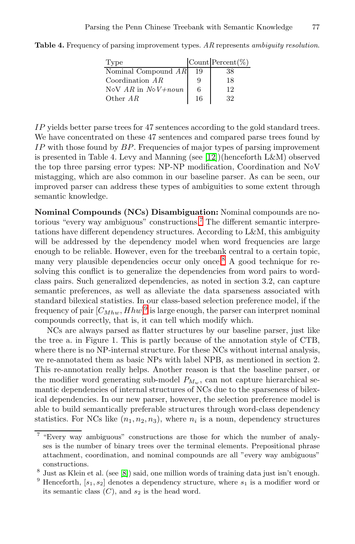| Type                           |    | Count Percent $(\%)$ |
|--------------------------------|----|----------------------|
| Nominal Compound $AR$          | 19 | 38                   |
| Coordination ${\mathcal{AR}}$  |    | 18                   |
| NoV $AR$ in $N\diamond V+noun$ |    | 12                   |
| Other AR                       | 16 | 32                   |

Table 4. Frequency of parsing improvement types. AR represents *ambiguity resolution*.

IP yields better parse trees for 47 sentences according to the gold standard trees. We have concentrated on these 47 sentences and compared parse trees found by IP with those found by BP. Frequencies of major types of parsing improvement is presented in Table 4. Levy and Manning (see [\[12\]](#page-11-3))(henceforth L&M) observed the top three parsing error types: NP-NP modification, Coordination and  $N\diamond V$ mistagging, which are also common in our baseline parser. As can be seen, our improved parser can address these types of ambiguities to some extent through semantic knowledge.

**Nominal Compounds (NCs) Disambiguation:** Nominal compounds are notorious "every way ambiguous" constructions.[7](#page-7-0) The different semantic interpretations have different dependency structures. According to L&M, this ambiguity will be addressed by the dependency model when word frequencies are large enough to be reliable. However, even for the treebank central to a certain topic, many very plausible dependencies occur only once.<sup>[8](#page-7-1)</sup> A good technique for resolving this conflict is to generalize the dependencies from word pairs to wordclass pairs. Such generalized dependencies, as noted in section 3.2, can capture semantic preferences, as well as alleviate the data sparseness associated with standard bilexical statistics. In our class-based selection preference model, if the frequency of pair  $[C_{Mhw}, Hhw]^9$  $[C_{Mhw}, Hhw]^9$  is large enough, the parser can interpret nominal compounds correctly, that is, it can tell which modify which.

NCs are always parsed as flatter structures by our baseline parser, just like the tree a. in Figure 1. This is partly because of the annotation style of CTB, where there is no NP-internal structure. For these NCs without internal analysis, we re-annotated them as basic NPs with label NPB, as mentioned in section 2. This re-annotation really helps. Another reason is that the baseline parser, or the modifier word generating sub-model  $P_{M_w}$ , can not capture hierarchical semantic dependencies of internal structures of NCs due to the sparseness of bilexical dependencies. In our new parser, however, the selection preference model is able to build semantically preferable structures through word-class dependency statistics. For NCs like  $(n_1, n_2, n_3)$ , where  $n_i$  is a noun, dependency structures

<span id="page-7-0"></span><sup>7</sup> "Every way ambiguous" constructions are those for which the number of analyses is the number of binary trees over the terminal elements. Prepositional phrase attachment, coordination, and nominal compounds are all "every way ambiguous" constructions.

<sup>8</sup> Just as Klein et al. (see [\[8\]](#page-11-8)) said, one million words of training data just isn't enough.

<span id="page-7-2"></span><span id="page-7-1"></span><sup>&</sup>lt;sup>9</sup> Henceforth,  $[s_1, s_2]$  denotes a dependency structure, where  $s_1$  is a modifier word or its semantic class  $(C)$ , and  $s_2$  is the head word.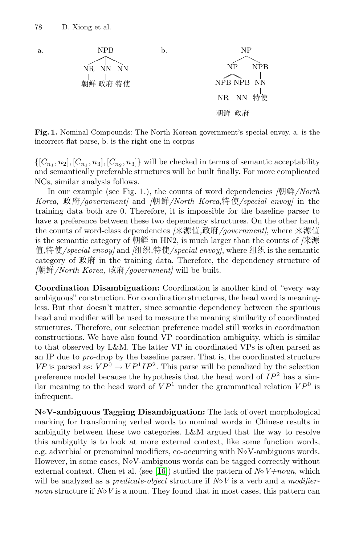

**Fig. 1.** Nominal Compounds: The North Korean government's special envoy. a. is the incorrect flat parse, b. is the right one in corpus

 $\{[C_{n_1}, n_2], [C_{n_1}, n_3], [C_{n_2}, n_3]\}\$  will be checked in terms of semantic acceptability and semantically preferable structures will be built finally. For more complicated NCs, similar analysis follows.

In our example (see Fig. 1.), the counts of word dependencies  $\left|\frac{m}{m}\right|$  /North Korea, 政府/government/ and  $|$ 朝鲜/North Korea,特使/special envoy/ in the training data both are 0. Therefore, it is impossible for the baseline parser to have a preference between these two dependency structures. On the other hand, the counts of word-class dependencies  $\mathbb{R}\times\mathbb{R}$ 值,政府/government, where  $\mathbb{R}\times\mathbb{R}$ 值 is the semantic category of 朝鲜 in HN2, is much larger than the counts of  $/R$ 值,特使/special envoy] and  $/$ 组织,特使/special envoy], where 组织 is the semantic category of  $\mathbb{R}$  in the training data. Therefore, the dependency structure of  $\hat{E}$ [朝鲜/North Korea, 政府/government] will be built.

**Coordination Disambiguation:** Coordination is another kind of "every way ambiguous" construction. For coordination structures, the head word is meaningless. But that doesn't matter, since semantic dependency between the spurious head and modifier will be used to measure the meaning similarity of coordinated structures. Therefore, our selection preference model still works in coordination constructions. We have also found VP coordination ambiguity, which is similar to that observed by L&M. The latter VP in coordinated VPs is often parsed as an IP due to pro-drop by the baseline parser. That is, the coordinated structure  $VP$  is parsed as:  $VP^0 \rightarrow VP^1IP^2$ . This parse will be penalized by the selection preference model because the hypothesis that the head word of  $IP^2$  has a similar meaning to the head word of  $VP<sup>1</sup>$  under the grammatical relation  $VP<sup>0</sup>$  is infrequent.

**NV-ambiguous Tagging Disambiguation:** The lack of overt morphological marking for transforming verbal words to nominal words in Chinese results in ambiguity between these two categories. L&M argued that the way to resolve this ambiguity is to look at more external context, like some function words, e.g. adverbial or prenominal modifiers, co-occurring with NV-ambiguous words. However, in some cases,  $N\diamond V$ -ambiguous words can be tagged correctly without external context. Chen et al. (see [\[16\]](#page-11-13)) studied the pattern of  $N\diamond V+noun$ , which will be analyzed as a *predicate-object* structure if  $N\circ V$  is a verb and a modifiernoun structure if  $N\circ V$  is a noun. They found that in most cases, this pattern can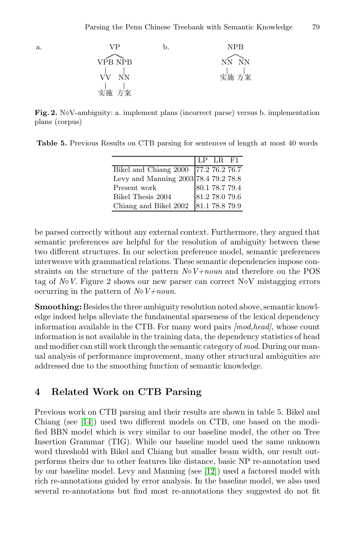

**Fig. 2.** NoV-ambiguity: a. implement plans (incorrect parse) versus b. implementation plans (corpus)

**Table 5.** Previous Results on CTB parsing for sentences of length at most 40 words

|                                      | LP LR F1           |                    |
|--------------------------------------|--------------------|--------------------|
| Bikel and Chiang 2000 77.2 76.2 76.7 |                    |                    |
| Levy and Manning 2003 78.4 79.2 78.8 |                    |                    |
| Present $\operatorname{work}$        | $80.1\ 78.7\ 79.4$ |                    |
| Bikel Thesis 2004                    |                    | $81.2\ 78.0\ 79.6$ |
| Chiang and Bikel 2002                | 81.1 78.8 79.9     |                    |

be parsed correctly without any external context. Furthermore, they argued that semantic preferences are helpful for the resolution of ambiguity between these two different structures. In our selection preference model, semantic preferences interweave with grammatical relations. These semantic dependencies impose constraints on the structure of the pattern  $N\diamond V+noun$  and therefore on the POS tag of  $N\delta V$ . Figure 2 shows our new parser can correct N $\delta V$  mistagging errors occurring in the pattern of  $N\diamond V+noun$ .

**Smoothing:** Besides the three ambiguity resolution noted above, semantic knowledge indeed helps alleviate the fundamental sparseness of the lexical dependency information available in the CTB. For many word pairs [mod,head], whose count information is not available in the training data, the dependency statistics of head and modifier can still work through the semantic category of mod. During our manual analysis of performance improvement, many other structural ambiguities are addressed due to the smoothing function of semantic knowledge.

### **4 Related Work on CTB Parsing**

Previous work on CTB parsing and their results are shown in table 5. Bikel and Chiang (see [\[14\]](#page-11-11)) used two different models on CTB, one based on the modified BBN model which is very similar to our baseline model, the other on Tree Insertion Grammar (TIG). While our baseline model used the same unknown word threshold with Bikel and Chiang but smaller beam width, our result outperforms theirs due to other features like distance, basic NP re-annotation used by our baseline model. Levy and Manning (see [\[12\]](#page-11-3)) used a factored model with rich re-annotations guided by error analysis. In the baseline model, we also used several re-annotations but find most re-annotations they suggested do not fit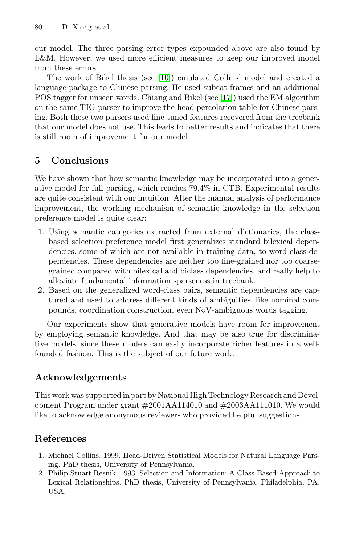our model. The three parsing error types expounded above are also found by L&M. However, we used more efficient measures to keep our improved model from these errors.

The work of Bikel thesis (see [\[10\]](#page-11-7)) emulated Collins' model and created a language package to Chinese parsing. He used subcat frames and an additional POS tagger for unseen words. Chiang and Bikel (see [\[17\]](#page-11-14)) used the EM algorithm on the same TIG-parser to improve the head percolation table for Chinese parsing. Both these two parsers used fine-tuned features recovered from the treebank that our model does not use. This leads to better results and indicates that there is still room of improvement for our model.

## **5 Conclusions**

We have shown that how semantic knowledge may be incorporated into a generative model for full parsing, which reaches 79.4% in CTB. Experimental results are quite consistent with our intuition. After the manual analysis of performance improvement, the working mechanism of semantic knowledge in the selection preference model is quite clear:

- 1. Using semantic categories extracted from external dictionaries, the classbased selection preference model first generalizes standard bilexical dependencies, some of which are not available in training data, to word-class dependencies. These dependencies are neither too fine-grained nor too coarsegrained compared with bilexical and biclass dependencies, and really help to alleviate fundamental information sparseness in treebank.
- 2. Based on the generalized word-class pairs, semantic dependencies are captured and used to address different kinds of ambiguities, like nominal compounds, coordination construction, even NV-ambiguous words tagging.

Our experiments show that generative models have room for improvement by employing semantic knowledge. And that may be also true for discriminative models, since these models can easily incorporate richer features in a wellfounded fashion. This is the subject of our future work.

## **Acknowledgements**

This work was supported in part by National High Technology Research and Development Program under grant #2001AA114010 and #2003AA111010. We would like to acknowledge anonymous reviewers who provided helpful suggestions.

## <span id="page-10-2"></span><span id="page-10-0"></span>**References**

- 1. Michael Collins. 1999. Head-Driven Statistical Models for Natural Language Parsing. PhD thesis, University of Pennsylvania.
- <span id="page-10-1"></span>2. Philip Stuart Resnik. 1993. Selection and Information: A Class-Based Approach to Lexical Relationships. PhD thesis, University of Pennsylvania, Philadelphia, PA, USA.